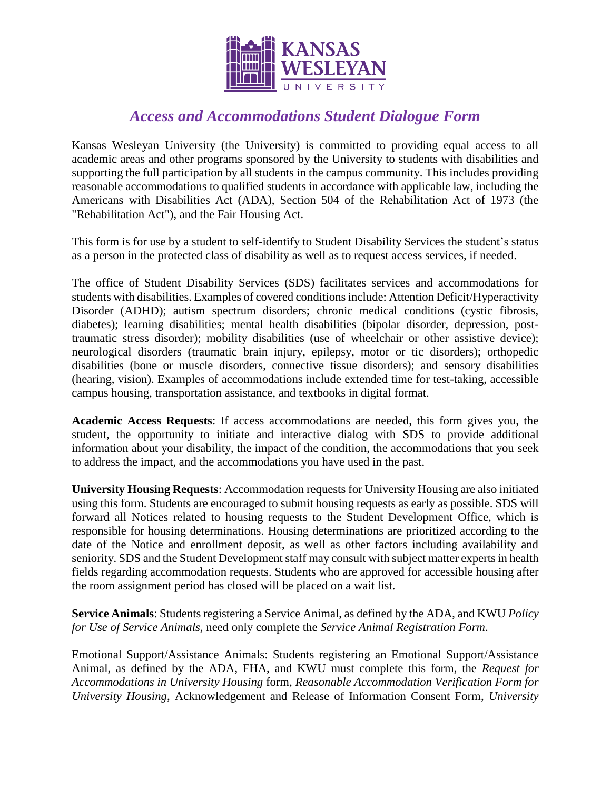

## *Access and Accommodations Student Dialogue Form*

Kansas Wesleyan University (the University) is committed to providing equal access to all academic areas and other programs sponsored by the University to students with disabilities and supporting the full participation by all students in the campus community. This includes providing reasonable accommodations to qualified students in accordance with applicable law, including the Americans with Disabilities Act (ADA), Section 504 of the Rehabilitation Act of 1973 (the "Rehabilitation Act"), and the Fair Housing Act.

This form is for use by a student to self-identify to Student Disability Services the student's status as a person in the protected class of disability as well as to request access services, if needed.

The office of Student Disability Services (SDS) facilitates services and accommodations for students with disabilities. Examples of covered conditions include: Attention Deficit/Hyperactivity Disorder (ADHD); autism spectrum disorders; chronic medical conditions (cystic fibrosis, diabetes); learning disabilities; mental health disabilities (bipolar disorder, depression, posttraumatic stress disorder); mobility disabilities (use of wheelchair or other assistive device); neurological disorders (traumatic brain injury, epilepsy, motor or tic disorders); orthopedic disabilities (bone or muscle disorders, connective tissue disorders); and sensory disabilities (hearing, vision). Examples of accommodations include extended time for test-taking, accessible campus housing, transportation assistance, and textbooks in digital format.

**Academic Access Requests**: If access accommodations are needed, this form gives you, the student, the opportunity to initiate and interactive dialog with SDS to provide additional information about your disability, the impact of the condition, the accommodations that you seek to address the impact, and the accommodations you have used in the past.

**University Housing Requests**: Accommodation requests for University Housing are also initiated using this form. Students are encouraged to submit housing requests as early as possible. SDS will forward all Notices related to housing requests to the Student Development Office, which is responsible for housing determinations. Housing determinations are prioritized according to the date of the Notice and enrollment deposit, as well as other factors including availability and seniority. SDS and the Student Development staff may consult with subject matter experts in health fields regarding accommodation requests. Students who are approved for accessible housing after the room assignment period has closed will be placed on a wait list.

**Service Animals**: Students registering a Service Animal, as defined by the ADA, and KWU *Policy for Use of Service Animals,* need only complete the *Service Animal Registration Form*.

Emotional Support/Assistance Animals: Students registering an Emotional Support/Assistance Animal, as defined by the ADA, FHA, and KWU must complete this form, the *Request for Accommodations in University Housing* form, *Reasonable Accommodation Verification Form for University Housing*, Acknowledgement and Release of Information Consent Form, *University*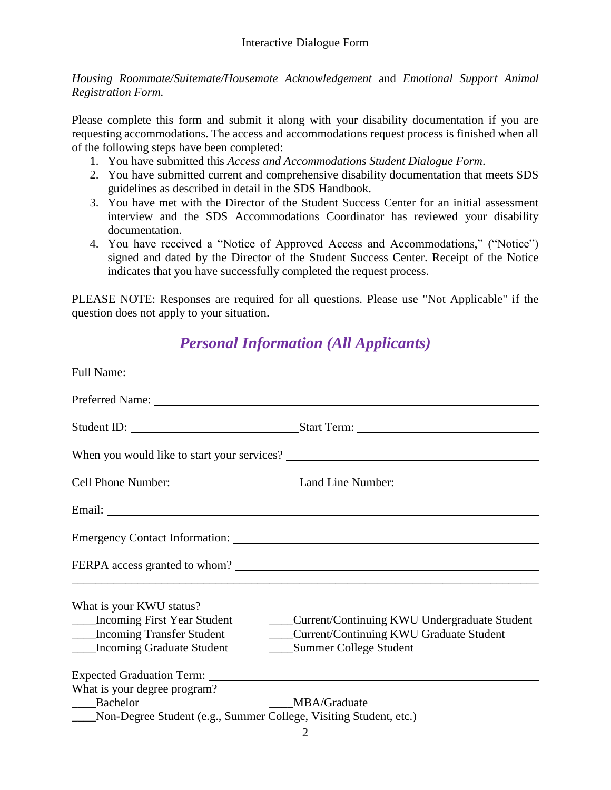*Housing Roommate/Suitemate/Housemate Acknowledgement* and *Emotional Support Animal Registration Form.*

Please complete this form and submit it along with your disability documentation if you are requesting accommodations. The access and accommodations request process is finished when all of the following steps have been completed:

- 1. You have submitted this *Access and Accommodations Student Dialogue Form*.
- 2. You have submitted current and comprehensive disability documentation that meets SDS guidelines as described in detail in the SDS Handbook.
- 3. You have met with the Director of the Student Success Center for an initial assessment interview and the SDS Accommodations Coordinator has reviewed your disability documentation.
- 4. You have received a "Notice of Approved Access and Accommodations," ("Notice") signed and dated by the Director of the Student Success Center. Receipt of the Notice indicates that you have successfully completed the request process.

PLEASE NOTE: Responses are required for all questions. Please use "Not Applicable" if the question does not apply to your situation.

## *Personal Information (All Applicants)*

|                                                                       | Preferred Name:                                                                      |  |
|-----------------------------------------------------------------------|--------------------------------------------------------------------------------------|--|
|                                                                       | Student ID: Student ID: Start Term:                                                  |  |
|                                                                       |                                                                                      |  |
|                                                                       |                                                                                      |  |
|                                                                       |                                                                                      |  |
|                                                                       |                                                                                      |  |
|                                                                       | FERPA access granted to whom?                                                        |  |
| What is your KWU status?                                              |                                                                                      |  |
|                                                                       | ___Incoming First Year Student _________Current/Continuing KWU Undergraduate Student |  |
|                                                                       | ____Incoming Transfer Student ___________Current/Continuing KWU Graduate Student     |  |
| ____Incoming Graduate Student                                         | ______ Summer College Student                                                        |  |
|                                                                       |                                                                                      |  |
| What is your degree program?                                          |                                                                                      |  |
| Bachelor                                                              | MBA/Graduate                                                                         |  |
| ____Non-Degree Student (e.g., Summer College, Visiting Student, etc.) |                                                                                      |  |